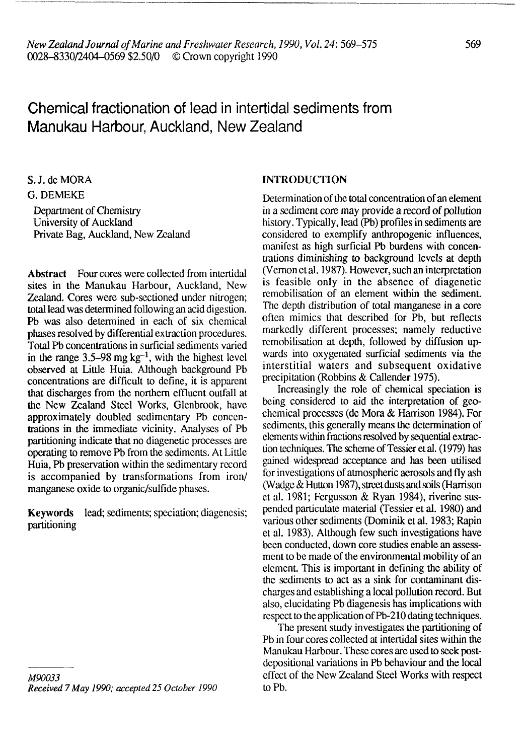# Chemical fractionation of lead in intertidal sediments from Manukau Harbour, Auckland, New Zealand

S.J.deMORA G. DEMEKE

Department of Chemistry University of Auckland Private Bag, Auckland, New Zealand

**Abstract** Four cores were collected from intertidal sites in the Manukau Harbour, Auckland, New Zealand. Cores were sub-sectioned under nitrogen; total lead was determined following an acid digestion. Pb was also determined in each of six chemical phases resolved by differential extraction procedures. Total Pb concentrations in surficial sediments varied in the range  $3.5-98$  mg kg<sup>-1</sup>, with the highest level observed at Little Huia. Although background Pb concentrations are difficult to define, it is apparent that discharges from the northern effluent outfall at the New Zealand Steel Works, Glenbrook, have approximately doubled sedimentary Pb concentrations in the immediate vicinity. Analyses of Pb partitioning indicate that no diagenetic processes are operating to remove Pb from the sediments. At Little Huia, Pb preservation within the sedimentary record is accompanied by transformations from iron/ manganese oxide to organic/sulfide phases.

**Keywords** lead; sediments; specialion; diagencsis; partitioning

# **INTRODUCTION**

Determination of the total concentration of an element in a sediment core may provide a record of pollution history. Typically, lead (Pb) profiles in sediments are considered to exemplify anthropogenic influences, manifest as high surficial Pb burdens with concentrations diminishing to background levels at depth (Vernon et al. 1987). However, such an interpretation is feasible only in the absence of diagenetic remobilisation of an element within the sediment. The depth distribution of total manganese in a core often mimics that described for Pb, but reflects markedly different processes; namely reductive remobilisation at depth, followed by diffusion upwards into oxygenated surficial sediments via the interstitial waters and subsequent oxidative precipitation (Robbins & Callender 1975).

Increasingly the role of chemical speciation is being considered to aid the interpretation of geochemical processes (de Mora & Harrison 1984). For sediments, this generally means the determination of elements within fractions resolved by sequential extraction techniques. The scheme of Tessieretal. (1979) has gained widespread acceptance and has been utilised for investigations of atmospheric aerosols and fly ash (Wadge & Hutton 1987), street dusts and soils (Harrison et al. 1981; Fergusson & Ryan 1984), riverine suspended paniculate material (Tessier et al. 1980) and various other sediments (Dominik et al. 1983; Rapin et al. 1983). Although few such investigations have been conducted, down core studies enable an assessment to be made of the environmental mobility of an element. This is important in defining the ability of the sediments to act as a sink for contaminant discharges and establishing a local pollution record. But also, elucidating Pb diagenesis has implications with respect to the application of Pb-210 dating techniques.

The present study investigates the partitioning of Pb in four cores collected at intertidal sites within the Manukau Harbour. These cores are used to seek postdepositional variations in Pb behaviour and the local effect of the New Zealand Steel Works with respect toPb.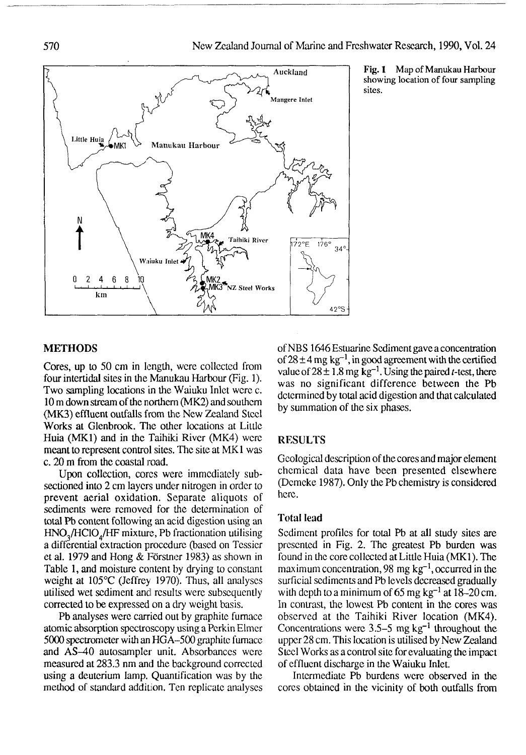

Fig. 1 Map of Manukau Harbour showing location of four sampling sites.

#### METHODS

Cores, up to 50 cm in length, were collected from four intertidal sites in the Manukau Harbour (Fig. 1). Two sampling locations in the Waiuku Inlet were c. 10 m down stream of the northern (MK2) and southern (MK3) effluent outfalls from the New Zealand Steel Works at Glenbrook. The other locations at Little Huia (MK1) and in the Taihiki River (MK4) were meant to represent control sites. The site at MK1 was c. 20 m from the coastal road.

Upon collection, cores were immediately subsectioned into 2 cm layers under nitrogen in order to prevent aerial oxidation. Separate aliquots of sediments were removed for the determination of total Pb content following an acid digestion using an HNO<sub>2</sub>/HClO<sub>4</sub>/HF mixture, Pb fractionation utilising a differential extraction procedure (based on Tessicr et al. 1979 and Hong  $&$  Förstner 1983) as shown in Table 1, and moisture content by drying to constant weight at 105°C (Jeffrey 1970). Thus, all analyses utilised wet sediment and results were subsequently corrected to be expressed on a dry weight basis.

Pb analyses were carried out by graphite furnace atomic absorption spectroscopy using a Perkin Elmer 5000 spectrometer with an HGA-500 graphite furnace and AS-40 autosampler unit. Absorbances were measured at 283.3 nm and the background corrected using a deuterium lamp. Quantification was by the method of standard addition. Ten replicate analyses ofNBS 1646 Estuarine Sediment gave a concentration of  $28 \pm 4$  mg kg<sup>-1</sup>, in good agreement with the certified value of  $28 \pm 1.8$  mg kg<sup>-1</sup>. Using the paired *t*-test, there was no significant difference between the Pb determined by total acid digestion and that calculated by summation of the six phases.

# RESULTS

Geological description of the cores and major element chemical data have been presented elsewhere (Dcmcke 1987). Only the Pb chemistry is considered here.

#### Total lead

Sediment profiles for total Pb at all study sites are presented in Fig. 2. The greatest Pb burden was found in the core collected at Little Huia (MK1). The maximum concentration, 98 mg  $kg^{-1}$ , occurred in the surficial sediments and Pb levels decreased gradually with depth to a minimum of 65 mg  $kg^{-1}$  at 18–20 cm. In contrast, the lowest Pb content in the cores was observed at the Taihiki River location (MK4). Concentrations were  $3.5-5$  mg kg<sup>-1</sup> throughout the upper 28 cm. This location is utilised by New Zealand Steel Works as a control site for evaluating the impact of effluent discharge in the Waiuku Inlet.

Intermediate Pb burdens were observed in the cores obtained in the vicinity of both outfalls from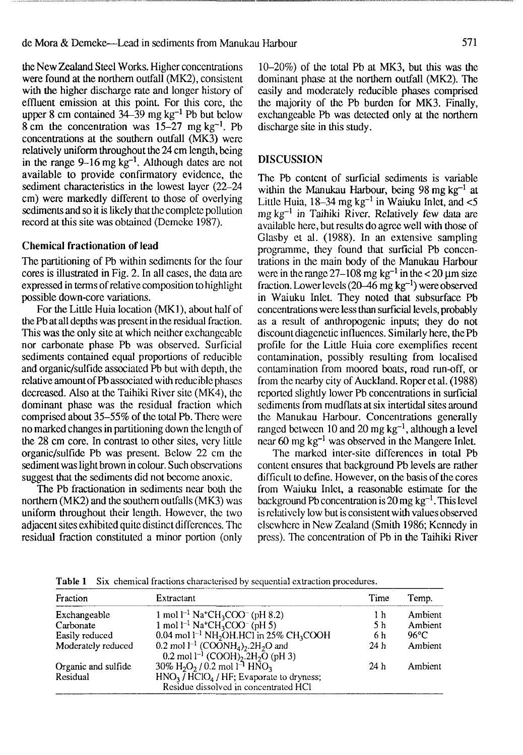the New Zealand Steel Works. Higher concentrations were found at the northern outfall (MK2), consistent with the higher discharge rate and longer history of effluent emission at this point. For this core, the upper 8 cm contained  $34-39$  mg kg<sup>-1</sup> Pb but below  $8 \text{ cm}$  the concentration was  $15-27 \text{ mg kg}^{-1}$ . Pb concentrations at the southern outfall (MK3) were relatively uniform throughout the 24 cm length, being in the range  $9-16$  mg kg<sup>-1</sup>. Although dates are not available to provide confirmatory evidence, the sediment characteristics in the lowest layer (22-24 cm) were markedly different to those of overlying sediments and so it is likely that the complete pollution record at this site was obtained (Demeke 1987).

#### **Chemical fractionation of** lead

The partitioning of Pb within sediments for the four cores is illustrated in Fig. 2. In all cases, the data are expressed in terms of relative composition to highlight possible down-core variations.

For the Little Huia location (MK1), about half of the Pb at all depths was present in the residual fraction. This was the only site at which neither exchangeable nor carbonate phase Pb was observed. Surficial sediments contained equal proportions of reducible and organic/sulfide associated Pb but with depth, the relative amount of Pb associated with reducible phases decreased. Also at the Taihiki River site (MK4), the dominant phase was the residual fraction which comprised about 35-55% of the total Pb. There were no marked changes in partitioning down the length of the 28 cm core. In contrast to other sites, very little organic/sulfide Pb was present. Below 22 cm the sediment was light brown in colour. Such observations suggest that the sediments did not become anoxic.

The Pb fractionation in sediments near both the northern (MK2) and the southern outfalls (MK3) was uniform throughout their length. However, the two adjacent sites exhibited quite distinct differences. The residual fraction constituted a minor portion (only 10-20%) of the total Pb at MK3, but this was the dominant phase at the northern outfall (MK2). The easily and moderately reducible phases comprised the majority of the Pb burden for MK3. Finally, exchangeable Pb was detected only at the northern discharge site in this study.

## DISCUSSION

The Pb content of surficial sediments is variable within the Manukau Harbour, being 98 mg kg<sup>-1</sup> at Little Huia,  $18-34$  mg kg<sup>-1</sup> in Waiuku Inlet, and  $<$ 5 mg kg<sup>-1</sup> in Taihiki River. Relatively few data are available here, but results do agree well with those of Glasby et al. (1988). In an extensive sampling programme, they found that surficial Pb concentrations in the main body of the Manukau Harbour were in the range  $27-108$  mg kg<sup>-1</sup> in the < 20  $\mu$ m size fraction. Lower levels  $(20-46 \text{ mg kg}^{-1})$  were observed in Waiuku Inlet. They noted that subsurface Pb concentrations were less than surficial levels, probably as a result of anthropogenic inputs; they do not discount diagenetic influences. Similarly here, thePb profile for the Little Huia core exemplifies recent contamination, possibly resulting from localised contamination from moored boats, road run-off, or from the nearby city of Auckland. Roper et al. (1988) reported slightly lower Pb concentrations in surficial sediments from mudflats at six intertidal sites around the Manukau Harbour. Concentrations generally ranged between 10 and 20 mg  $kg^{-1}$ , although a level near 60 mg  $kg^{-1}$  was observed in the Mangere Inlet.

The marked inter-site differences in total Pb content ensures that background Pb levels are rather difficult to define. However, on the basis of the cores from Waiuku Inlet, a reasonable estimate for the background Pb concentration is  $20 \text{ mg kg}^{-1}$ . This level is relatively low but is consistent with values observed elsewhere in New Zealand (Smith 1986; Kennedy in press). The concentration of Pb in the Taihiki River

| Fraction                        | Extractant                                                                                                                                   | Time | Temp.          |
|---------------------------------|----------------------------------------------------------------------------------------------------------------------------------------------|------|----------------|
| Exchangeable                    | 1 mol $l^{-1}$ Na <sup>+</sup> CH <sub>3</sub> COO <sup>-</sup> (pH 8.2)                                                                     | 1 h  | Ambient        |
| Carbonate                       | 1 mol $l^{-1}$ Na <sup>+</sup> CH <sub>3</sub> COO <sup>-</sup> (pH 5)                                                                       | 5 h  | Ambient        |
| Easily reduced                  | $0.04$ mol l <sup>-1</sup> NH <sub>2</sub> OH.HCl in 25% CH <sub>3</sub> COOH                                                                | 6 h  | $96^{\circ}$ C |
| Moderately reduced              | 0.2 mol $1^{-1}$ (COONH <sub>4</sub> ) <sub>2</sub> .2H <sub>2</sub> O and<br>0.2 mol $1^{-1}$ (COOH) <sub>2</sub> .2H <sub>2</sub> O (pH 3) | 24 h | Ambient        |
| Organic and sulfide<br>Residual | $30\%$ H <sub>2</sub> O <sub>2</sub> / 0.2 mol 1 <sup>-1</sup> HNO <sub>3</sub><br>$HNO3$ / $HClO4$ / HF; Evaporate to dryness;              | 24h  | Ambient        |
|                                 | Residue dissolved in concentrated HCl                                                                                                        |      |                |

**Table 1** Six chemical fractions characterised by sequential extraction procedures.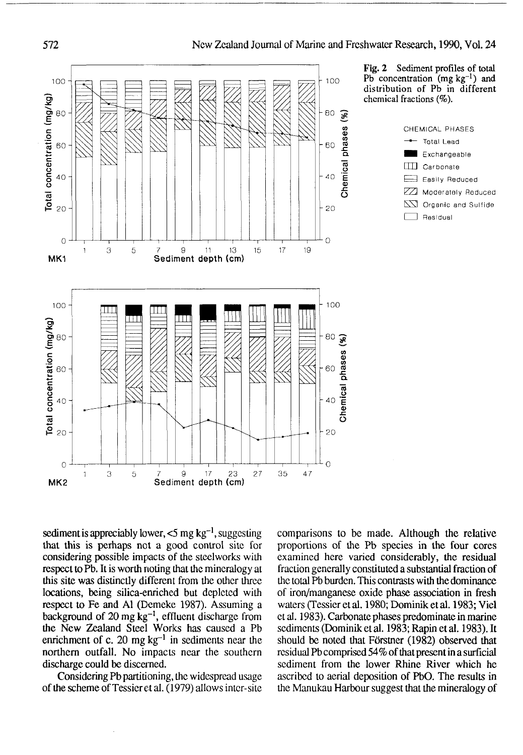

sediment is appreciably lower,  $<$  5 mg kg $^{-1}$ , suggesting that this is perhaps not a good control site for considering possible impacts of the steelworks with respect to Pb. It is worth noting that the mineralogy at this site was distinctly different from the other three locations, being silica-enriched but depleted with respect to Fe and Al (Demeke 1987). Assuming a background of  $20 \text{ mg kg}^{-1}$ , effluent discharge from the New Zealand Steel Works has caused a Pb enrichment of c. 20 mg  $kg^{-1}$  in sediments near the northern outfall. No impacts near the southern discharge could be discerned.

Considering Pb partitioning, the widespread usage of the scheme of Tessieret al. (1979) allows inter-site comparisons to be made. Although the relative proportions of the Pb species in the four cores examined here varied considerably, the residual fraction generally constituted a substantial fraction of the total Pb burden. This contrasts with the dominance of iron/manganese oxide phase association in fresh waters (Tessier et al. 1980; Dominik et al. 1983; Viel et al. 1983). Carbonate phases predominate in marine sediments (Dominik et al. 1983; Rapin et al. 1983). It should be noted that Förstner (1982) observed that residual Pb comprised 54% of that present in a surficial sediment from the lower Rhine River which he ascribed to aerial deposition of PbO. The results in the Manukau Harbour suggest that the mineralogy of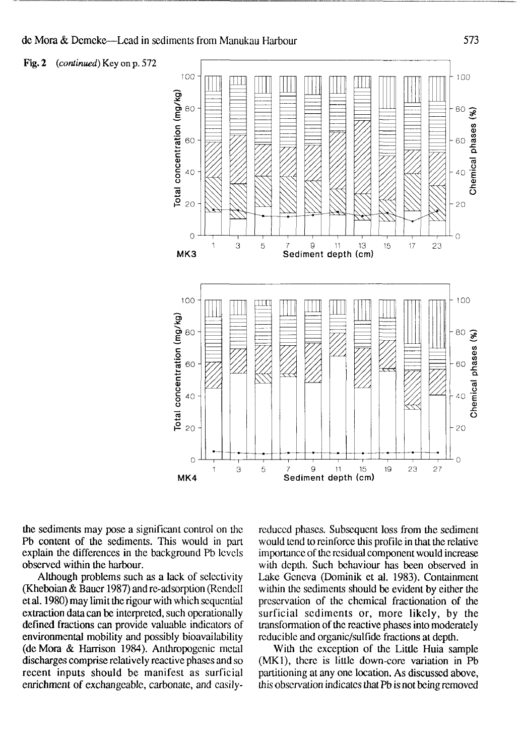Fig. 2 *{continued)* Key on p. 572



the sediments may pose a significant control on the Pb content of the sediments. This would in part explain the differences in the background Pb levels observed within the harbour.

Although problems such as a lack of selectivity (Kheboian & Bauer 1987) and re-adsorption (Rendcll et al. 1980) may limit the rigour with which sequential extraction data can be interpreted, such operationally defined fractions can provide valuable indicators of environmental mobility and possibly bioavailability (deMora & Harrison 1984). Anthropogenic metal discharges comprise relatively reactive phases and so recent inputs should be manifest as surficial enrichment of exchangeable, carbonate, and easilyreduced phases. Subsequent loss from the sediment would tend to reinforce this profile in that the relative importance of the residual component would increase with depth. Such behaviour has been observed in Lake Geneva (Dominik et al. 1983). Containment within the sediments should be evident by either the preservation of the chemical fractionation of the surficial sediments or, more likely, by the transformation of the reactive phases into moderately reducible and organic/sulfide fractions at depth.

With the exception of the Little Huia sample (MK1), there is little down-core variation in Pb partitioning at any one location. As discussed above, this observation indicates that Pb is not being removed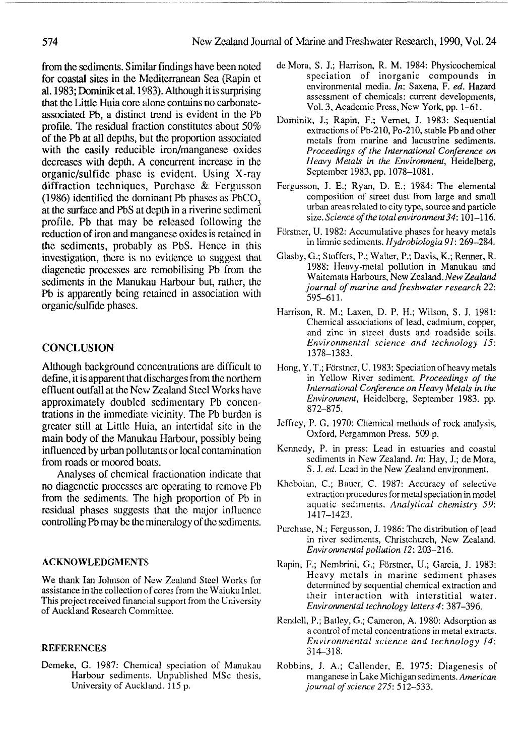from **the** sediments. Similar findings have been noted for coastal sites in the Mediterranean Sea (Rapin ct al. 1983; Dominik et al. 1983). Although it is surprising that the Little Huia core alone contains no carbonateassociated Pb, a distinct trend is evident in the Pb profile. The residual fraction constitutes about 50% of **the** Pb at all depths, but the proportion associated with **the** easily reducible iron/manganese oxides decreases with depth. A concurrent increase in the organic/sulfide phase is evident. Using X-ray diffraction techniques, Purchase & Fergusson  $(1986)$  identified the dominant Pb phases as PbCO<sub>3</sub> at the surface and PbS at depth in a riverine sediment profile. Pb that may be released following the reduction of iron and manganese oxides is retained in the sediments, probably as PbS. Hence in this investigation, there is no evidence to suggest that diagenetic processes are remobilising Pb from the sediments in the Manukau Harbour but, rather, the Pb is apparently being retained in association with organic/sulfide phases.

## **CONCLUSION**

Although background concentrations are difficult to define, it is apparent that discharges from the northern effluent outfall at the New Zealand Steel Works have approximately doubled sedimentary Pb concentrations in the immediate: vicinity. The Pb burden is greater still at Little Huia, an intertidal site in the main body of the Manukau Harbour, possibly being influenced by urban pollu tants or local contamination from roads or moored boats.

Analyses of chemical fractionation indicate that no diagenetic processes are operating to remove Pb from the sediments. The high proportion of Pb in residual phases suggests that the major influence controlling Pb may be the mineralogy of the sediments.

#### **ACKNOWLEDGMENTS**

We thank Ian Johnson of New Zealand Steel Works for assistance in the collection of cores from the Waiuku Inlet. This project received financial support from the University of Auckland Research Committee.

#### **REFERENCES**

Demeke, G. 1987: Chemical speciation of Manukau Harbour sediments. Unpublished MSc thesis, University of Auckland. 115 p.

- deMora, S. J.; Harrison, R. M. 1984: Physicochemical speciation of inorganic compounds in environmental media. *In:* Saxena, F. *ed.* Hazard assessment of chemicals: current developments, Vol. 3, Academic Press, New York, pp. 1-61.
- Dominik, J.; Rapin, F.; Vernet, J. 1983: Sequential extractions of Pb-210, Po-210, stable Pb and other metals from marine and lacustrine sediments. *Proceedings of the International Conference on Heavy Metals in the Environment,* Heidelberg, September 1983, pp. 1078-1081.
- Fergusson, J. E.; Ryan, D. E.; 1984: The elemental composition of street dust from large and small urban areas related to city type, source and particle size. *Science of the total environment 34:*101-116.
- Forstner, U. 1982: Accumulative phases for heavy metals in limnic sediments. *Hydrobiologia 91:* 269-284.
- Glasby, G.; Stoffers, P.; Walter, P.; Davis, K.; Renner, R. 1988: Heavy-metal pollution in Manukau and Waitemata Harbours, New Zealand. *New Zealand journal of marine and freshwater research 22:* 595-611.
- Harrison, R. M.; Laxen, D. P. H.; Wilson, S. J. 1981: Chemical associations of lead, cadmium, copper, and zinc in street dusts and roadside soils. *Environmental science and technology 15:* 1378-1383.
- Hong, Y.T.; Förstner, U. 1983; Speciation of heavy metals in Yellow River sediment. *Proceedings of the International Conference on Heavy Metals in the Environment,* Heidelberg, September 1983. pp. 872-875.
- Jeffrey, P. G. 1970: Chemical methods of rock analysis, Oxford, Pergammon Press. 509 p.
- Kennedy, P. in press: Lead in estuaries and coastal sediments in New Zealand. *In:* Hay, J.; de Mora, S. J. *ed.* Lead in the New Zealand environment.
- Kheboian, C; Bauer, C. 1987: Accuracy of selective extraction procedures for metal speciation in model aquatic sediments. *Analytical chemistry 59:* 1417\_1423.
- Purchase, N.; Fergusson, J. 1986: The distribution of lead in river sediments, Christchurch, New Zealand. *Environmental pollution 12:* 203-216.
- Rapin, F.; Nembrini, G.; Forstner, U.; Garcia, J. 1983: Heavy metals in marine sediment phases determined by sequential chemical extraction and their interaction with interstitial water. *Environmental technology letters4:* 387-396.
- Rendell, P.; Batley, G.; Cameron, A. 1980: Adsorption as a control of metal concentrations in metal extracts. *Environmental science and technology 14:* 314-318.
- Robbins, J. A.; Callender, E. 1975: Diagenesis of manganese in Lake Michigan sediments. *American journal of science 275:* 512-533.